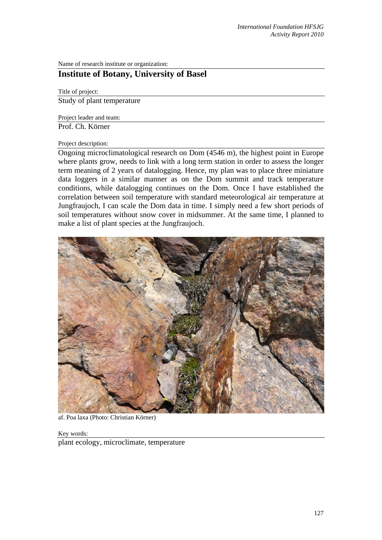Name of research institute or organization:

# **Institute of Botany, University of Basel**

Title of project: Study of plant temperature

Project leader and team:

Prof. Ch. Körner

#### Project description:

Ongoing microclimatological research on Dom (4546 m), the highest point in Europe where plants grow, needs to link with a long term station in order to assess the longer term meaning of 2 years of datalogging. Hence, my plan was to place three miniature data loggers in a similar manner as on the Dom summit and track temperature conditions, while datalogging continues on the Dom. Once I have established the correlation between soil temperature with standard meteorological air temperature at Jungfraujoch, I can scale the Dom data in time. I simply need a few short periods of soil temperatures without snow cover in midsummer. At the same time, I planned to make a list of plant species at the Jungfraujoch.



af. Poa laxa (Photo: Christian Körner)

Key words: plant ecology, microclimate, temperature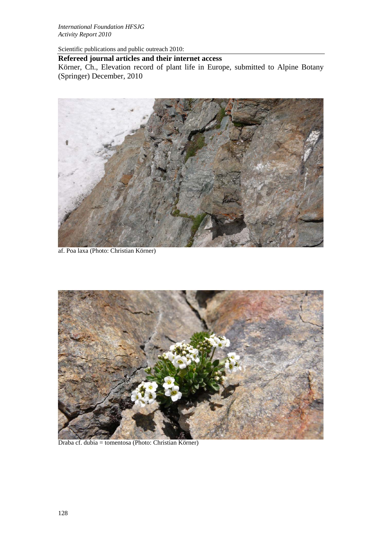*International Foundation HFSJG Activity Report 2010*

Scientific publications and public outreach 2010:

### **Refereed journal articles and their internet access**

Körner, Ch., Elevation record of plant life in Europe, submitted to Alpine Botany (Springer) December, 2010



af. Poa laxa (Photo: Christian Körner)



Draba cf. dubia = tomentosa (Photo: Christian Körner)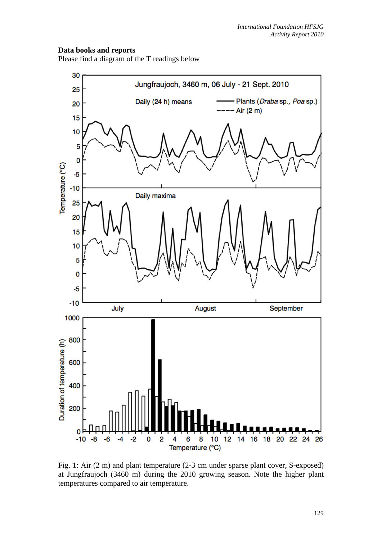## **Data books and reports**

Please find a diagram of the T readings below



Fig. 1: Air (2 m) and plant temperature (2-3 cm under sparse plant cover, S-exposed) at Jungfraujoch (3460 m) during the 2010 growing season. Note the higher plant temperatures compared to air temperature.